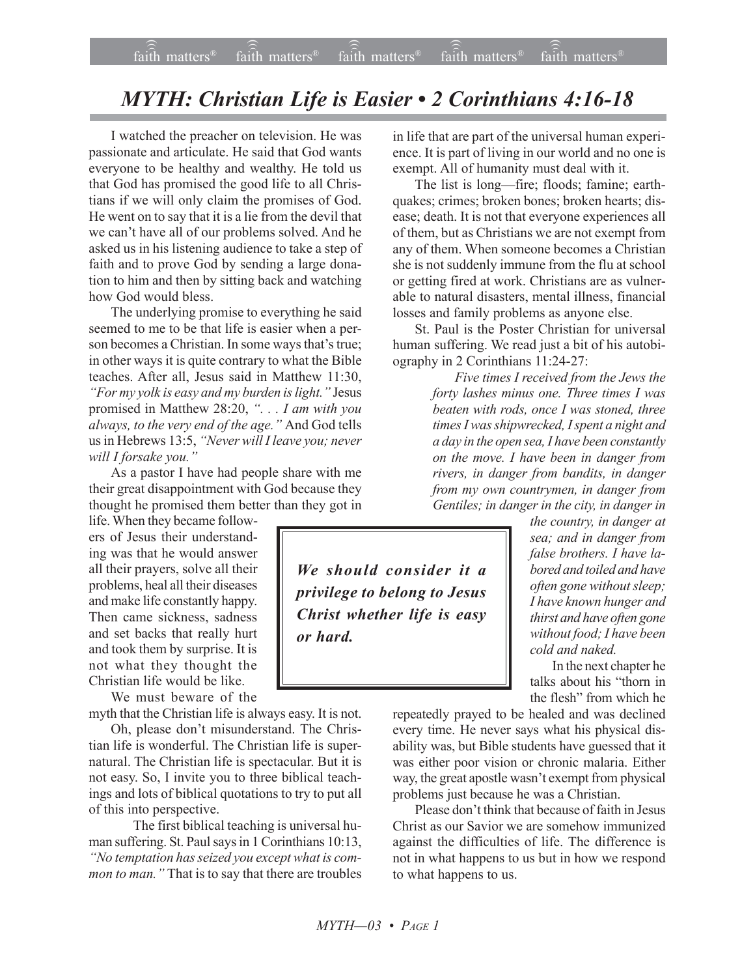## *MYTH: Christian Life is Easier • 2 Corinthians 4:16-18*

I watched the preacher on television. He was passionate and articulate. He said that God wants everyone to be healthy and wealthy. He told us that God has promised the good life to all Christians if we will only claim the promises of God. He went on to say that it is a lie from the devil that we can't have all of our problems solved. And he asked us in his listening audience to take a step of faith and to prove God by sending a large donation to him and then by sitting back and watching how God would bless.

The underlying promise to everything he said seemed to me to be that life is easier when a person becomes a Christian. In some ways that's true; in other ways it is quite contrary to what the Bible teaches. After all, Jesus said in Matthew 11:30, *<sup>8</sup>For my yolk is easy and my burden is light.*" Jesus promised in Matthew 28:20, *ì. . . I am with you always, to the very end of the age.*" And God tells us in Hebrews 13:5, *ìNever will I leave you; never will I forsake you.*"

As a pastor I have had people share with me their great disappointment with God because they thought he promised them better than they got in

life. When they became followers of Jesus their understanding was that he would answer all their prayers, solve all their problems, heal all their diseases and make life constantly happy. Then came sickness, sadness and set backs that really hurt and took them by surprise. It is not what they thought the Christian life would be like.

We must beware of the

myth that the Christian life is always easy. It is not.

Oh, please don't misunderstand. The Christian life is wonderful. The Christian life is supernatural. The Christian life is spectacular. But it is not easy. So, I invite you to three biblical teachings and lots of biblical quotations to try to put all of this into perspective.

The first biblical teaching is universal human suffering. St. Paul says in 1 Corinthians 10:13, *ìNo temptation has seized you except what is common to man.*" That is to say that there are troubles in life that are part of the universal human experience. It is part of living in our world and no one is exempt. All of humanity must deal with it.

The list is long—fire; floods; famine; earthquakes; crimes; broken bones; broken hearts; disease; death. It is not that everyone experiences all of them, but as Christians we are not exempt from any of them. When someone becomes a Christian she is not suddenly immune from the flu at school or getting fired at work. Christians are as vulnerable to natural disasters, mental illness, financial losses and family problems as anyone else.

St. Paul is the Poster Christian for universal human suffering. We read just a bit of his autobiography in 2 Corinthians 11:24-27:

> *Five times I received from the Jews the forty lashes minus one. Three times I was beaten with rods, once I was stoned, three times I was shipwrecked, I spent a night and a day in the open sea, I have been constantly on the move. I have been in danger from rivers, in danger from bandits, in danger from my own countrymen, in danger from Gentiles; in danger in the city, in danger in*

*We should consider it a privilege to belong to Jesus Christ whether life is easy or hard.*

*the country, in danger at sea; and in danger from false brothers. I have labored and toiled and have often gone without sleep; I have known hunger and thirst and have often gone without food; I have been cold and naked.*

In the next chapter he talks about his "thorn in the flesh" from which he

repeatedly prayed to be healed and was declined every time. He never says what his physical disability was, but Bible students have guessed that it was either poor vision or chronic malaria. Either way, the great apostle wasn't exempt from physical problems just because he was a Christian.

Please don't think that because of faith in Jesus Christ as our Savior we are somehow immunized against the difficulties of life. The difference is not in what happens to us but in how we respond to what happens to us.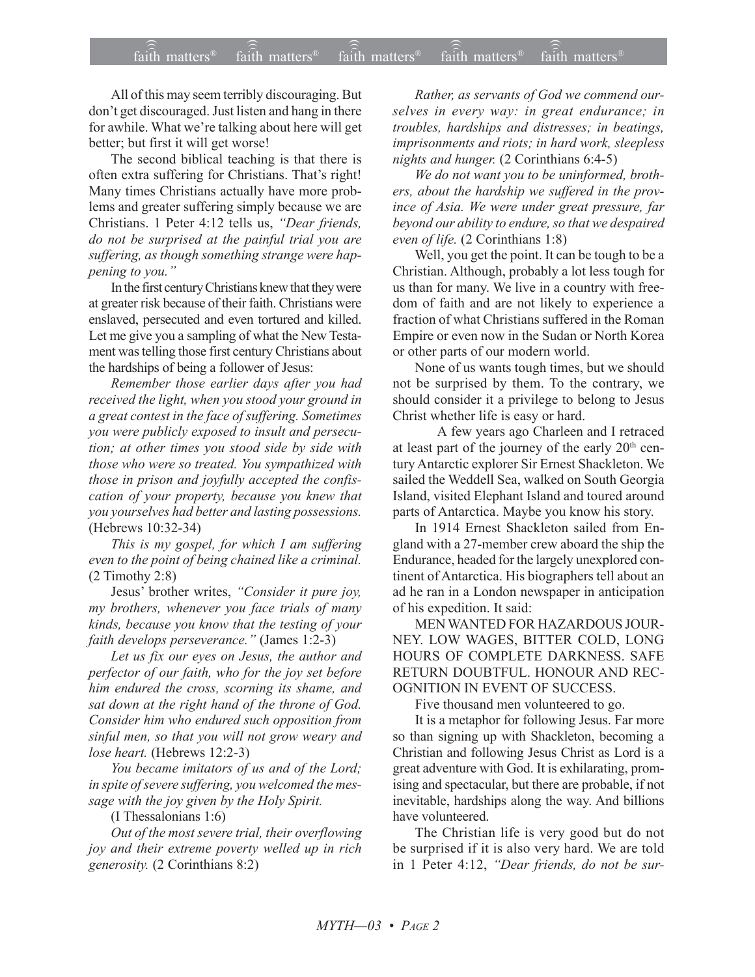All of this may seem terribly discouraging. But don't get discouraged. Just listen and hang in there for awhile. What we're talking about here will get better; but first it will get worse!

The second biblical teaching is that there is often extra suffering for Christians. That's right! Many times Christians actually have more problems and greater suffering simply because we are Christians. 1 Peter 4:12 tells us, "Dear friends, *do not be surprised at the painful trial you are suffering, as though something strange were happening to you.*"

In the first century Christians knew that they were at greater risk because of their faith. Christians were enslaved, persecuted and even tortured and killed. Let me give you a sampling of what the New Testament was telling those first century Christians about the hardships of being a follower of Jesus:

*Remember those earlier days after you had received the light, when you stood your ground in a great contest in the face of suffering. Sometimes you were publicly exposed to insult and persecution; at other times you stood side by side with those who were so treated. You sympathized with those in prison and joyfully accepted the confiscation of your property, because you knew that you yourselves had better and lasting possessions.* (Hebrews 10:32-34)

*This is my gospel, for which I am suffering even to the point of being chained like a criminal.* (2 Timothy 2:8)

Jesus' brother writes, "Consider it pure joy, *my brothers, whenever you face trials of many kinds, because you know that the testing of your faith develops perseverance.*" (James 1:2-3)

*Let us fix our eyes on Jesus, the author and perfector of our faith, who for the joy set before him endured the cross, scorning its shame, and sat down at the right hand of the throne of God. Consider him who endured such opposition from sinful men, so that you will not grow weary and lose heart.* (Hebrews 12:2-3)

*You became imitators of us and of the Lord; in spite of severe suffering, you welcomed the message with the joy given by the Holy Spirit.*

(I Thessalonians 1:6)

*Out of the most severe trial, their overflowing joy and their extreme poverty welled up in rich generosity.* (2 Corinthians 8:2)

*Rather, as servants of God we commend ourselves in every way: in great endurance; in troubles, hardships and distresses; in beatings, imprisonments and riots; in hard work, sleepless nights and hunger.* (2 Corinthians 6:4-5)

*We do not want you to be uninformed, brothers, about the hardship we suffered in the province of Asia. We were under great pressure, far beyond our ability to endure, so that we despaired even of life.* (2 Corinthians 1:8)

Well, you get the point. It can be tough to be a Christian. Although, probably a lot less tough for us than for many. We live in a country with freedom of faith and are not likely to experience a fraction of what Christians suffered in the Roman Empire or even now in the Sudan or North Korea or other parts of our modern world.

None of us wants tough times, but we should not be surprised by them. To the contrary, we should consider it a privilege to belong to Jesus Christ whether life is easy or hard.

A few years ago Charleen and I retraced at least part of the journey of the early  $20<sup>th</sup>$  century Antarctic explorer Sir Ernest Shackleton. We sailed the Weddell Sea, walked on South Georgia Island, visited Elephant Island and toured around parts of Antarctica. Maybe you know his story.

In 1914 Ernest Shackleton sailed from England with a 27-member crew aboard the ship the Endurance, headed for the largely unexplored continent of Antarctica. His biographers tell about an ad he ran in a London newspaper in anticipation of his expedition. It said:

MEN WANTED FOR HAZARDOUS JOUR-NEY. LOW WAGES, BITTER COLD, LONG HOURS OF COMPLETE DARKNESS. SAFE RETURN DOUBTFUL. HONOUR AND REC-OGNITION IN EVENT OF SUCCESS.

Five thousand men volunteered to go.

It is a metaphor for following Jesus. Far more so than signing up with Shackleton, becoming a Christian and following Jesus Christ as Lord is a great adventure with God. It is exhilarating, promising and spectacular, but there are probable, if not inevitable, hardships along the way. And billions have volunteered.

The Christian life is very good but do not be surprised if it is also very hard. We are told in 1 Peter 4:12, *ìDear friends, do not be sur-*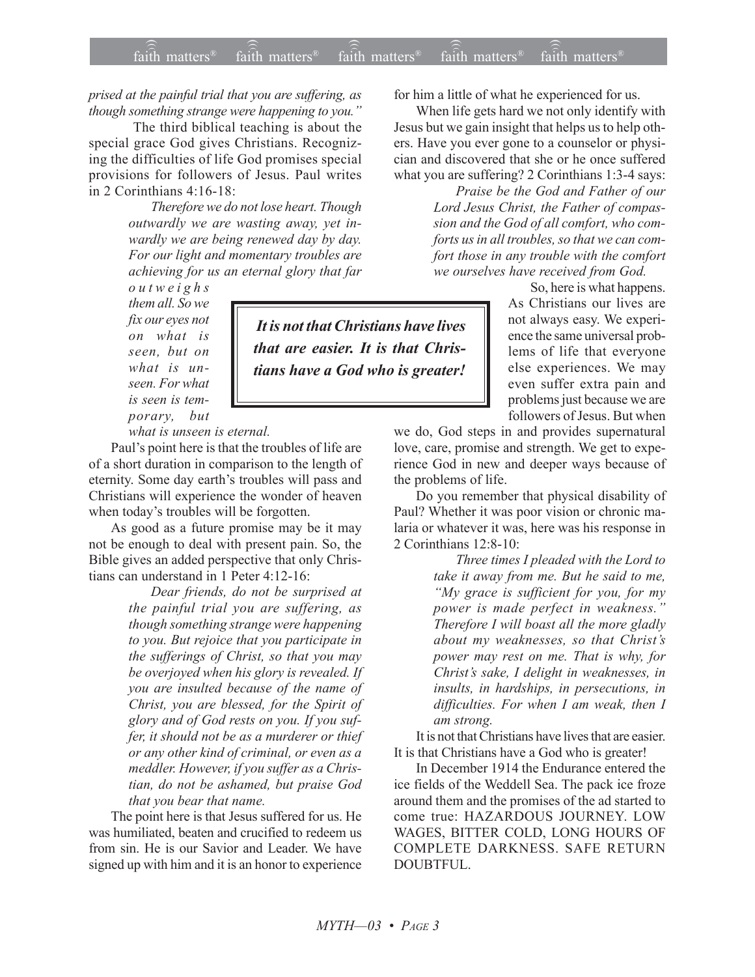*prised at the painful trial that you are suffering, as* though something strange were happening to you.<sup>"</sup>

The third biblical teaching is about the special grace God gives Christians. Recognizing the difficulties of life God promises special provisions for followers of Jesus. Paul writes in 2 Corinthians 4:16-18:

> *Therefore we do not lose heart. Though outwardly we are wasting away, yet inwardly we are being renewed day by day. For our light and momentary troubles are achieving for us an eternal glory that far*

*outweighs them all. So we fix our eyes not on what is seen, but on what is unseen. For what is seen is temporary, but*

 *It is not that Christians have lives that are easier. It is that Christians have a God who is greater!*

*what is unseen is eternal.*

Paul's point here is that the troubles of life are of a short duration in comparison to the length of eternity. Some day earth's troubles will pass and Christians will experience the wonder of heaven when today's troubles will be forgotten.

As good as a future promise may be it may not be enough to deal with present pain. So, the Bible gives an added perspective that only Christians can understand in 1 Peter 4:12-16:

> *Dear friends, do not be surprised at the painful trial you are suffering, as though something strange were happening to you. But rejoice that you participate in the sufferings of Christ, so that you may be overjoyed when his glory is revealed. If you are insulted because of the name of Christ, you are blessed, for the Spirit of glory and of God rests on you. If you suffer, it should not be as a murderer or thief or any other kind of criminal, or even as a meddler. However, if you suffer as a Christian, do not be ashamed, but praise God that you bear that name.*

The point here is that Jesus suffered for us. He was humiliated, beaten and crucified to redeem us from sin. He is our Savior and Leader. We have signed up with him and it is an honor to experience for him a little of what he experienced for us.

When life gets hard we not only identify with Jesus but we gain insight that helps us to help others. Have you ever gone to a counselor or physician and discovered that she or he once suffered what you are suffering? 2 Corinthians 1:3-4 says:

> *Praise be the God and Father of our Lord Jesus Christ, the Father of compassion and the God of all comfort, who comforts us in all troubles, so that we can comfort those in any trouble with the comfort we ourselves have received from God.*

> > So, here is what happens. As Christians our lives are not always easy. We experience the same universal problems of life that everyone else experiences. We may even suffer extra pain and problems just because we are followers of Jesus. But when

we do, God steps in and provides supernatural love, care, promise and strength. We get to experience God in new and deeper ways because of the problems of life.

Do you remember that physical disability of Paul? Whether it was poor vision or chronic malaria or whatever it was, here was his response in 2 Corinthians 12:8-10:

> *Three times I pleaded with the Lord to take it away from me. But he said to me, ìMy grace is sufficient for you, for my power is made perfect in weakness.î Therefore I will boast all the more gladly about my weaknesses, so that Christís power may rest on me. That is why, for Christís sake, I delight in weaknesses, in insults, in hardships, in persecutions, in difficulties. For when I am weak, then I am strong.*

It is not that Christians have lives that are easier. It is that Christians have a God who is greater!

In December 1914 the Endurance entered the ice fields of the Weddell Sea. The pack ice froze around them and the promises of the ad started to come true: HAZARDOUS JOURNEY. LOW WAGES, BITTER COLD, LONG HOURS OF COMPLETE DARKNESS. SAFE RETURN DOUBTFUL.